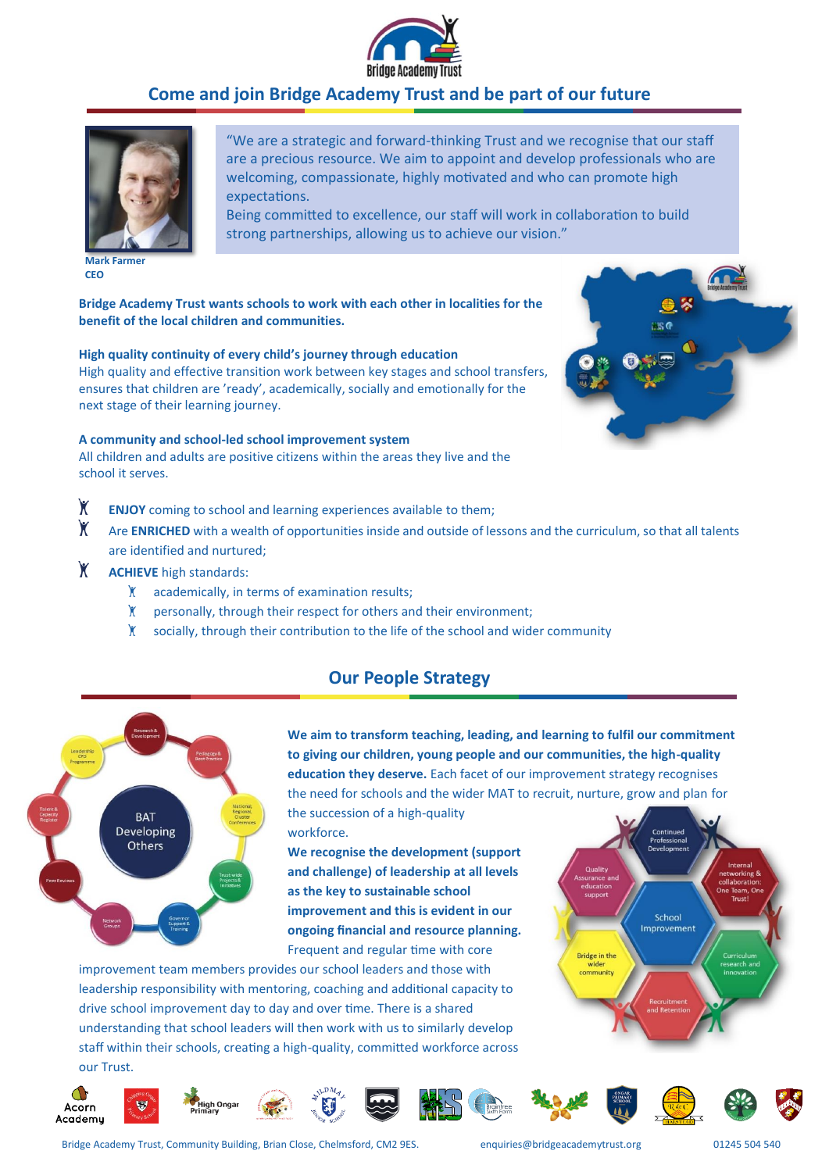

# **Come and join Bridge Academy Trust and be part of our future**



**Mark Farmer CEO**

"We are a strategic and forward-thinking Trust and we recognise that our staff are a precious resource. We aim to appoint and develop professionals who are welcoming, compassionate, highly motivated and who can promote high expectations.

Being committed to excellence, our staff will work in collaboration to build strong partnerships, allowing us to achieve our vision."

**Bridge Academy Trust wants schools to work with each other in localities for the benefit of the local children and communities.** 

### **High quality continuity of every child's journey through education**

High quality and effective transition work between key stages and school transfers, ensures that children are 'ready', academically, socially and emotionally for the next stage of their learning journey.

#### **A community and school-led school improvement system**

All children and adults are positive citizens within the areas they live and the school it serves.

- $\mathsf{X}$ **ENJOY** coming to school and learning experiences available to them;
- $\mathsf{Y}$ Are **ENRICHED** with a wealth of opportunities inside and outside of lessons and the curriculum, so that all talents are identified and nurtured;
- $\mathsf{X}$ **ACHIEVE** high standards:
	- $\mathbf{X}$ academically, in terms of examination results;
	- $\mathsf{X}$ personally, through their respect for others and their environment;
	- Y. socially, through their contribution to the life of the school and wider community

## **Our People Strategy**



**We aim to transform teaching, leading, and learning to fulfil our commitment to giving our children, young people and our communities, the high-quality education they deserve.** Each facet of our improvement strategy recognises the need for schools and the wider MAT to recruit, nurture, grow and plan for

the succession of a high-quality workforce.

**We recognise the development (support and challenge) of leadership at all levels as the key to sustainable school improvement and this is evident in our ongoing financial and resource planning.** Frequent and regular time with core

improvement team members provides our school leaders and those with leadership responsibility with mentoring, coaching and additional capacity to drive school improvement day to day and over time. There is a shared understanding that school leaders will then work with us to similarly develop staff within their schools, creating a high-quality, committed workforce across our Trust.























Bridge Academy Trust, Community Building, Brian Close, Chelmsford, CM2 9ES. enquiries@bridgeacademytrust.org 01245 504 540